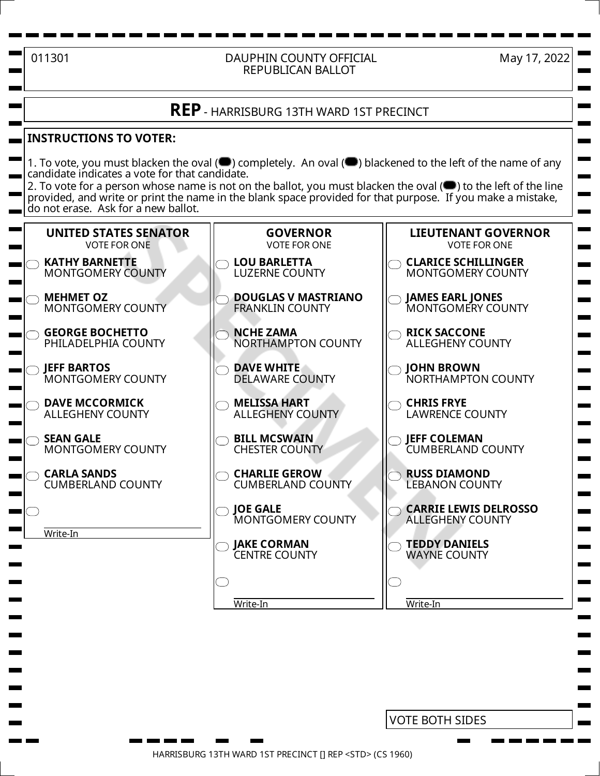## 011301 DAUPHIN COUNTY OFFICIAL REPUBLICAN BALLOT

## **REP**- HARRISBURG 13TH WARD 1ST PRECINCT

## **INSTRUCTIONS TO VOTER:**

1. To vote, you must blacken the oval ( $\blacksquare$ ) completely. An oval ( $\blacksquare$ ) blackened to the left of the name of any candidate indicates a vote for that candidate.

2. To vote for a person whose name is not on the ballot, you must blacken the oval  $($ **)** to the left of the line provided, and write or print the name in the blank space provided for that purpose. If you make a mistake, do not erase. Ask for a new ballot.



VOTE BOTH SIDES